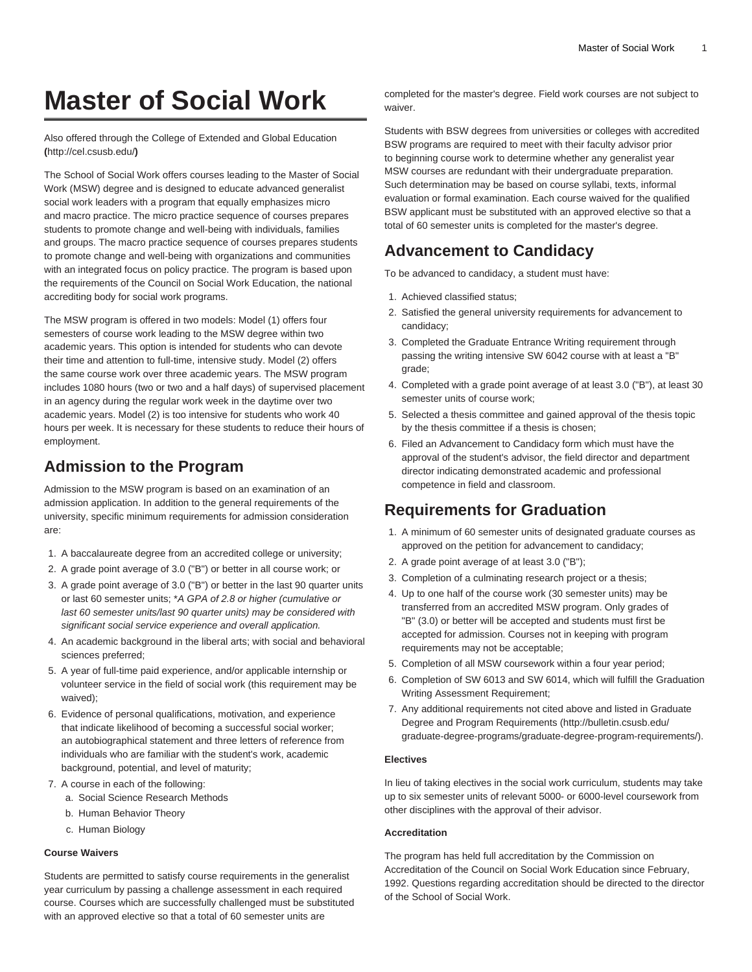# **Master of Social Work**

[Also offered through the College of Extended and Global Education](http://cel.csusb.edu/) **(**<http://cel.csusb.edu/>**)**

The School of Social Work offers courses leading to the Master of Social Work (MSW) degree and is designed to educate advanced generalist social work leaders with a program that equally emphasizes micro and macro practice. The micro practice sequence of courses prepares students to promote change and well-being with individuals, families and groups. The macro practice sequence of courses prepares students to promote change and well-being with organizations and communities with an integrated focus on policy practice. The program is based upon the requirements of the Council on Social Work Education, the national accrediting body for social work programs.

The MSW program is offered in two models: Model (1) offers four semesters of course work leading to the MSW degree within two academic years. This option is intended for students who can devote their time and attention to full-time, intensive study. Model (2) offers the same course work over three academic years. The MSW program includes 1080 hours (two or two and a half days) of supervised placement in an agency during the regular work week in the daytime over two academic years. Model (2) is too intensive for students who work 40 hours per week. It is necessary for these students to reduce their hours of employment.

## **Admission to the Program**

Admission to the MSW program is based on an examination of an admission application. In addition to the general requirements of the university, specific minimum requirements for admission consideration are:

- 1. A baccalaureate degree from an accredited college or university;
- 2. A grade point average of 3.0 ("B") or better in all course work; or
- 3. A grade point average of 3.0 ("B") or better in the last 90 quarter units or last 60 semester units; \*A GPA of 2.8 or higher (cumulative or last 60 semester units/last 90 quarter units) may be considered with significant social service experience and overall application.
- 4. An academic background in the liberal arts; with social and behavioral sciences preferred;
- 5. A year of full-time paid experience, and/or applicable internship or volunteer service in the field of social work (this requirement may be waived);
- 6. Evidence of personal qualifications, motivation, and experience that indicate likelihood of becoming a successful social worker; an autobiographical statement and three letters of reference from individuals who are familiar with the student's work, academic background, potential, and level of maturity;
- 7. A course in each of the following:
	- a. Social Science Research Methods
	- b. Human Behavior Theory
	- c. Human Biology

#### **Course Waivers**

Students are permitted to satisfy course requirements in the generalist year curriculum by passing a challenge assessment in each required course. Courses which are successfully challenged must be substituted with an approved elective so that a total of 60 semester units are

completed for the master's degree. Field work courses are not subject to waiver.

Students with BSW degrees from universities or colleges with accredited BSW programs are required to meet with their faculty advisor prior to beginning course work to determine whether any generalist year MSW courses are redundant with their undergraduate preparation. Such determination may be based on course syllabi, texts, informal evaluation or formal examination. Each course waived for the qualified BSW applicant must be substituted with an approved elective so that a total of 60 semester units is completed for the master's degree.

## **Advancement to Candidacy**

To be advanced to candidacy, a student must have:

- 1. Achieved classified status;
- 2. Satisfied the general university requirements for advancement to candidacy;
- 3. Completed the Graduate Entrance Writing requirement through passing the writing intensive [SW 6042](/search/?P=SW%206042) course with at least a "B" grade;
- 4. Completed with a grade point average of at least 3.0 ("B"), at least 30 semester units of course work;
- 5. Selected a thesis committee and gained approval of the thesis topic by the thesis committee if a thesis is chosen;
- 6. Filed an Advancement to Candidacy form which must have the approval of the student's advisor, the field director and department director indicating demonstrated academic and professional competence in field and classroom.

### **Requirements for Graduation**

- 1. A minimum of 60 semester units of designated graduate courses as approved on the petition for advancement to candidacy;
- 2. A grade point average of at least 3.0 ("B");
- 3. Completion of a culminating research project or a thesis;
- 4. Up to one half of the course work (30 semester units) may be transferred from an accredited MSW program. Only grades of "B" (3.0) or better will be accepted and students must first be accepted for admission. Courses not in keeping with program requirements may not be acceptable;
- 5. Completion of all MSW coursework within a four year period;
- 6. Completion of [SW 6013](/search/?P=SW%206013) and [SW 6014](/search/?P=SW%206014), which will fulfill the Graduation Writing Assessment Requirement;
- 7. Any additional requirements not cited above and listed in [Graduate](http://bulletin.csusb.edu/graduate-degree-programs/graduate-degree-program-requirements/) [Degree and Program Requirements](http://bulletin.csusb.edu/graduate-degree-programs/graduate-degree-program-requirements/) ([http://bulletin.csusb.edu/](http://bulletin.csusb.edu/graduate-degree-programs/graduate-degree-program-requirements/) [graduate-degree-programs/graduate-degree-program-requirements/](http://bulletin.csusb.edu/graduate-degree-programs/graduate-degree-program-requirements/)).

#### **Electives**

In lieu of taking electives in the social work curriculum, students may take up to six semester units of relevant 5000- or 6000-level coursework from other disciplines with the approval of their advisor.

#### **Accreditation**

The program has held full accreditation by the Commission on Accreditation of the Council on Social Work Education since February, 1992. Questions regarding accreditation should be directed to the director of the School of Social Work.